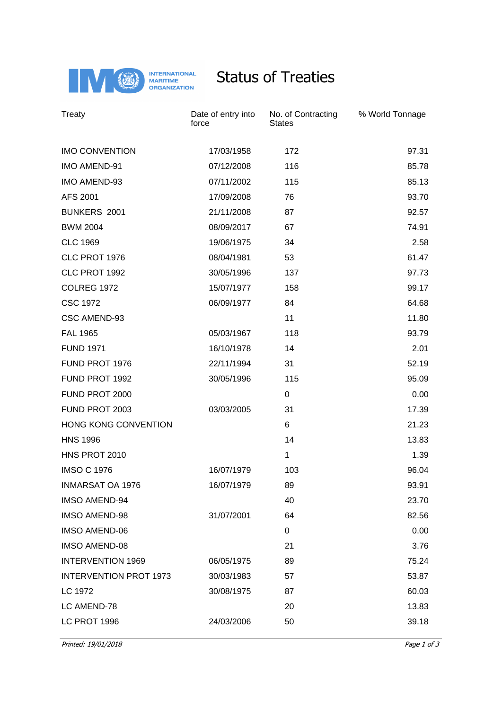

## Status of Treaties

| Treaty                        | Date of entry into<br>force | No. of Contracting<br><b>States</b> | % World Tonnage |
|-------------------------------|-----------------------------|-------------------------------------|-----------------|
| <b>IMO CONVENTION</b>         | 17/03/1958                  | 172                                 | 97.31           |
| IMO AMEND-91                  | 07/12/2008                  | 116                                 | 85.78           |
| IMO AMEND-93                  | 07/11/2002                  | 115                                 | 85.13           |
| AFS 2001                      | 17/09/2008                  | 76                                  | 93.70           |
| BUNKERS 2001                  | 21/11/2008                  | 87                                  | 92.57           |
| <b>BWM 2004</b>               | 08/09/2017                  | 67                                  | 74.91           |
| <b>CLC 1969</b>               | 19/06/1975                  | 34                                  | 2.58            |
| CLC PROT 1976                 | 08/04/1981                  | 53                                  | 61.47           |
| CLC PROT 1992                 | 30/05/1996                  | 137                                 | 97.73           |
| <b>COLREG 1972</b>            | 15/07/1977                  | 158                                 | 99.17           |
| <b>CSC 1972</b>               | 06/09/1977                  | 84                                  | 64.68           |
| CSC AMEND-93                  |                             | 11                                  | 11.80           |
| <b>FAL 1965</b>               | 05/03/1967                  | 118                                 | 93.79           |
| <b>FUND 1971</b>              | 16/10/1978                  | 14                                  | 2.01            |
| FUND PROT 1976                | 22/11/1994                  | 31                                  | 52.19           |
| FUND PROT 1992                | 30/05/1996                  | 115                                 | 95.09           |
| FUND PROT 2000                |                             | 0                                   | 0.00            |
| FUND PROT 2003                | 03/03/2005                  | 31                                  | 17.39           |
| HONG KONG CONVENTION          |                             | 6                                   | 21.23           |
| <b>HNS 1996</b>               |                             | 14                                  | 13.83           |
| HNS PROT 2010                 |                             | 1                                   | 1.39            |
| <b>IMSO C 1976</b>            | 16/07/1979                  | 103                                 | 96.04           |
| <b>INMARSAT OA 1976</b>       | 16/07/1979                  | 89                                  | 93.91           |
| <b>IMSO AMEND-94</b>          |                             | 40                                  | 23.70           |
| <b>IMSO AMEND-98</b>          | 31/07/2001                  | 64                                  | 82.56           |
| <b>IMSO AMEND-06</b>          |                             | 0                                   | 0.00            |
| <b>IMSO AMEND-08</b>          |                             | 21                                  | 3.76            |
| <b>INTERVENTION 1969</b>      | 06/05/1975                  | 89                                  | 75.24           |
| <b>INTERVENTION PROT 1973</b> | 30/03/1983                  | 57                                  | 53.87           |
| LC 1972                       | 30/08/1975                  | 87                                  | 60.03           |
| LC AMEND-78                   |                             | 20                                  | 13.83           |
| LC PROT 1996                  | 24/03/2006                  | 50                                  | 39.18           |

Printed: 19/01/2018 Page 1 of 3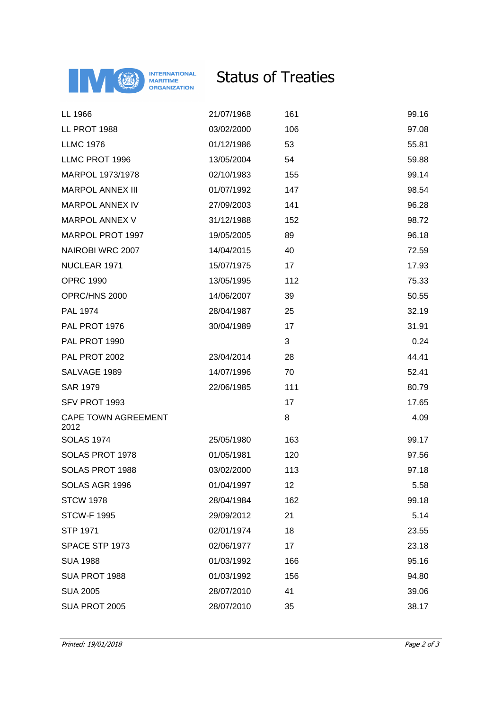

## Status of Treaties

| LL 1966                            | 21/07/1968 | 161 | 99.16 |
|------------------------------------|------------|-----|-------|
| LL PROT 1988                       | 03/02/2000 | 106 | 97.08 |
| <b>LLMC 1976</b>                   | 01/12/1986 | 53  | 55.81 |
| LLMC PROT 1996                     | 13/05/2004 | 54  | 59.88 |
| MARPOL 1973/1978                   | 02/10/1983 | 155 | 99.14 |
| <b>MARPOL ANNEX III</b>            | 01/07/1992 | 147 | 98.54 |
| <b>MARPOL ANNEX IV</b>             | 27/09/2003 | 141 | 96.28 |
| <b>MARPOL ANNEX V</b>              | 31/12/1988 | 152 | 98.72 |
| MARPOL PROT 1997                   | 19/05/2005 | 89  | 96.18 |
| NAIROBI WRC 2007                   | 14/04/2015 | 40  | 72.59 |
| NUCLEAR 1971                       | 15/07/1975 | 17  | 17.93 |
| <b>OPRC 1990</b>                   | 13/05/1995 | 112 | 75.33 |
| OPRC/HNS 2000                      | 14/06/2007 | 39  | 50.55 |
| PAL 1974                           | 28/04/1987 | 25  | 32.19 |
| PAL PROT 1976                      | 30/04/1989 | 17  | 31.91 |
| PAL PROT 1990                      |            | 3   | 0.24  |
| PAL PROT 2002                      | 23/04/2014 | 28  | 44.41 |
| SALVAGE 1989                       | 14/07/1996 | 70  | 52.41 |
| <b>SAR 1979</b>                    | 22/06/1985 | 111 | 80.79 |
| SFV PROT 1993                      |            | 17  | 17.65 |
| <b>CAPE TOWN AGREEMENT</b><br>2012 |            | 8   | 4.09  |
| <b>SOLAS 1974</b>                  | 25/05/1980 | 163 | 99.17 |
| SOLAS PROT 1978                    | 01/05/1981 | 120 | 97.56 |
| SOLAS PROT 1988                    | 03/02/2000 | 113 | 97.18 |
| SOLAS AGR 1996                     | 01/04/1997 | 12  | 5.58  |
| <b>STCW 1978</b>                   | 28/04/1984 | 162 | 99.18 |
| <b>STCW-F 1995</b>                 | 29/09/2012 | 21  | 5.14  |
| <b>STP 1971</b>                    | 02/01/1974 | 18  | 23.55 |
| SPACE STP 1973                     | 02/06/1977 | 17  | 23.18 |
| <b>SUA 1988</b>                    | 01/03/1992 | 166 | 95.16 |
| SUA PROT 1988                      | 01/03/1992 | 156 | 94.80 |
| <b>SUA 2005</b>                    | 28/07/2010 | 41  | 39.06 |
| SUA PROT 2005                      | 28/07/2010 | 35  | 38.17 |